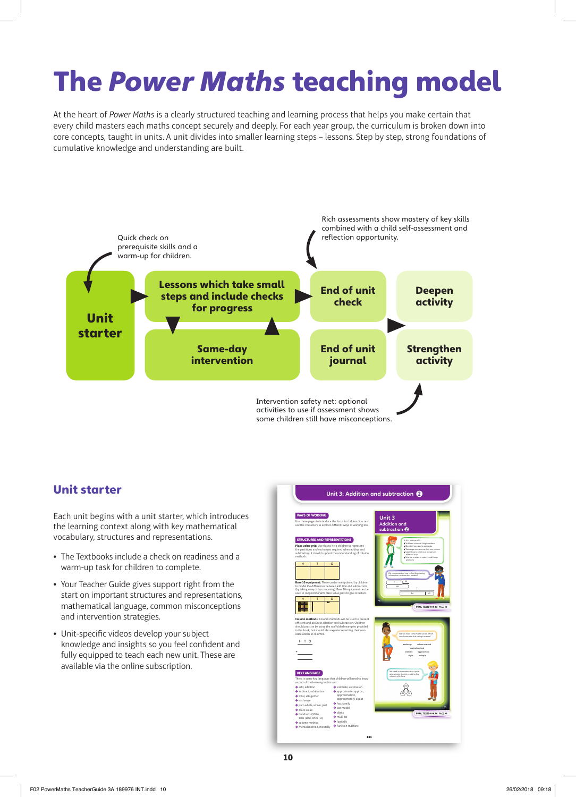# The Power Maths teaching model

At the heart of *Power Maths* is a clearly structured teaching and learning process that helps you make certain that every child masters each maths concept securely and deeply. For each year group, the curriculum is broken down into core concepts, taught in units. A unit divides into smaller learning steps – lessons. Step by step, strong foundations of cumulative knowledge and understanding are built.



### Unit starter

Each unit begins with a unit starter, which introduces the learning context along with key mathematical vocabulary, structures and representations.

- **•** The Textbooks include a check on readiness and a warm-up task for children to complete.
- **•** Your Teacher Guide gives support right from the start on important structures and representations, mathematical language, common misconceptions and intervention strategies.
- Unit-specific videos develop your subject knowledge and insights so you feel confident and fully equipped to teach each new unit. These are available via the online subscription.